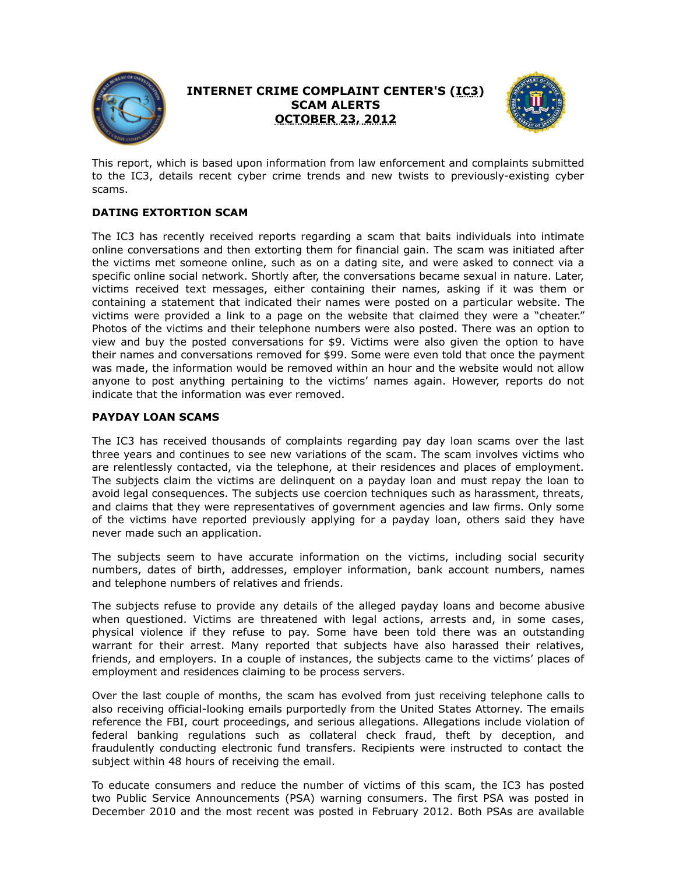

# **INTERNET CRIME COMPLAINT CENTER'S (IC3) SCAM ALERTS OCTOBER 23, 2012**



This report, which is based upon information from law enforcement and complaints submitted to the IC3, details recent cyber crime trends and new twists to previously-existing cyber scams.

## **DATING EXTORTION SCAM**

The IC3 has recently received reports regarding a scam that baits individuals into intimate online conversations and then extorting them for financial gain. The scam was initiated after the victims met someone online, such as on a dating site, and were asked to connect via a specific online social network. Shortly after, the conversations became sexual in nature. Later, victims received text messages, either containing their names, asking if it was them or containing a statement that indicated their names were posted on a particular website. The victims were provided a link to a page on the website that claimed they were a "cheater." Photos of the victims and their telephone numbers were also posted. There was an option to view and buy the posted conversations for \$9. Victims were also given the option to have their names and conversations removed for \$99. Some were even told that once the payment was made, the information would be removed within an hour and the website would not allow anyone to post anything pertaining to the victims' names again. However, reports do not indicate that the information was ever removed.

### **PAYDAY LOAN SCAMS**

The IC3 has received thousands of complaints regarding pay day loan scams over the last three years and continues to see new variations of the scam. The scam involves victims who are relentlessly contacted, via the telephone, at their residences and places of employment. The subjects claim the victims are delinquent on a payday loan and must repay the loan to avoid legal consequences. The subjects use coercion techniques such as harassment, threats, and claims that they were representatives of government agencies and law firms. Only some of the victims have reported previously applying for a payday loan, others said they have never made such an application.

The subjects seem to have accurate information on the victims, including social security numbers, dates of birth, addresses, employer information, bank account numbers, names and telephone numbers of relatives and friends.

The subjects refuse to provide any details of the alleged payday loans and become abusive when questioned. Victims are threatened with legal actions, arrests and, in some cases, physical violence if they refuse to pay. Some have been told there was an outstanding warrant for their arrest. Many reported that subjects have also harassed their relatives, friends, and employers. In a couple of instances, the subjects came to the victims' places of employment and residences claiming to be process servers.

Over the last couple of months, the scam has evolved from just receiving telephone calls to also receiving official-looking emails purportedly from the United States Attorney. The emails reference the FBI, court proceedings, and serious allegations. Allegations include violation of federal banking regulations such as collateral check fraud, theft by deception, and fraudulently conducting electronic fund transfers. Recipients were instructed to contact the subject within 48 hours of receiving the email.

To educate consumers and reduce the number of victims of this scam, the IC3 has posted two Public Service Announcements (PSA) warning consumers. The first PSA was posted in December 2010 and the most recent was posted in February 2012. Both PSAs are available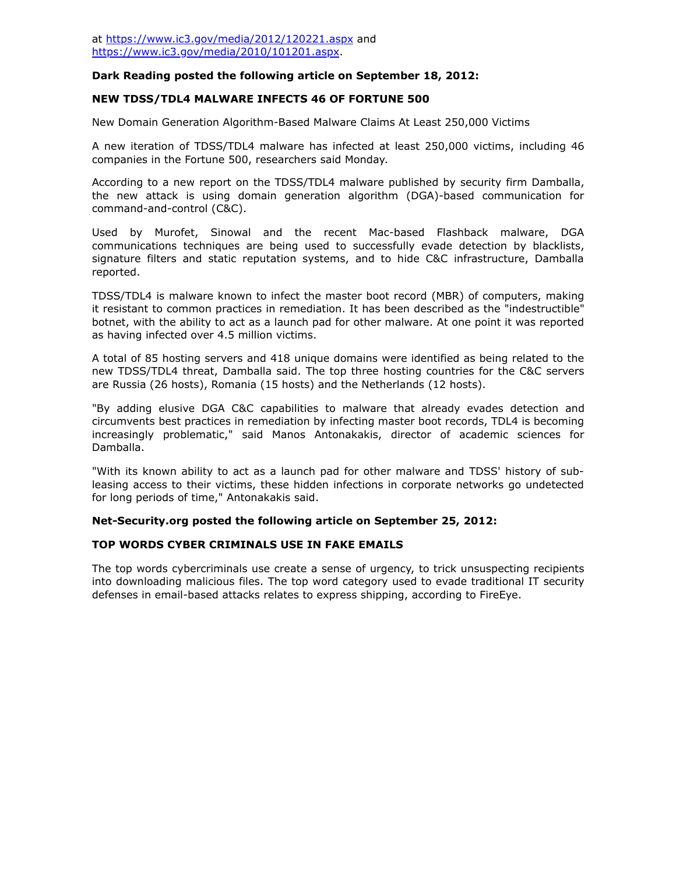### **Dark Reading posted the following article on September 18, 2012:**

#### **NEW TDSS/TDL4 MALWARE INFECTS 46 OF FORTUNE 500**

New Domain Generation Algorithm-Based Malware Claims At Least 250,000 Victims

A new iteration of TDSS/TDL4 malware has infected at least 250,000 victims, including 46 companies in the Fortune 500, researchers said Monday.

According to a new report on the TDSS/TDL4 malware published by security firm Damballa, the new attack is using domain generation algorithm (DGA)-based communication for command-and-control (C&C).

Used by Murofet, Sinowal and the recent Mac-based Flashback malware, DGA communications techniques are being used to successfully evade detection by blacklists, signature filters and static reputation systems, and to hide C&C infrastructure, Damballa reported.

TDSS/TDL4 is malware known to infect the master boot record (MBR) of computers, making it resistant to common practices in remediation. It has been described as the "indestructible" botnet, with the ability to act as a launch pad for other malware. At one point it was reported as having infected over 4.5 million victims.

A total of 85 hosting servers and 418 unique domains were identified as being related to the new TDSS/TDL4 threat, Damballa said. The top three hosting countries for the C&C servers are Russia (26 hosts), Romania (15 hosts) and the Netherlands (12 hosts).

"By adding elusive DGA C&C capabilities to malware that already evades detection and circumvents best practices in remediation by infecting master boot records, TDL4 is becoming increasingly problematic," said Manos Antonakakis, director of academic sciences for Damballa.

"With its known ability to act as a launch pad for other malware and TDSS' history of subleasing access to their victims, these hidden infections in corporate networks go undetected for long periods of time," Antonakakis said.

#### **Net-Security.org posted the following article on September 25, 2012:**

#### **TOP WORDS CYBER CRIMINALS USE IN FAKE EMAILS**

The top words cybercriminals use create a sense of urgency, to trick unsuspecting recipients into downloading malicious files. The top word category used to evade traditional IT security defenses in email-based attacks relates to express shipping, according to FireEye.